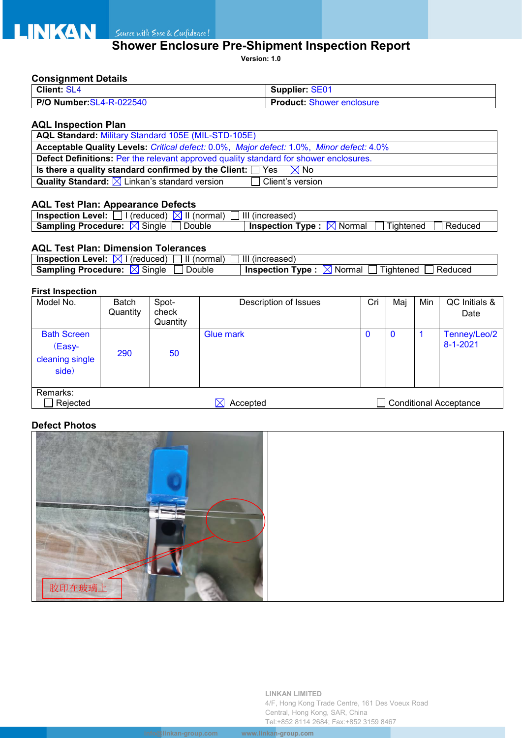# **Shower Enclosure Pre-Shipment Inspection Report**

**Version: 1.0**

### **Consignment Details**

| Client: SL4              | <b>Supplier: SE01</b>            |  |  |  |
|--------------------------|----------------------------------|--|--|--|
| P/O Number: SL4-R-022540 | <b>Product: Shower enclosure</b> |  |  |  |

### **AQL Inspection Plan**

| AQL Standard: Military Standard 105E (MIL-STD-105E)                                          |  |  |  |  |
|----------------------------------------------------------------------------------------------|--|--|--|--|
| Acceptable Quality Levels: Critical defect: 0.0%, Major defect: 1.0%, Minor defect: 4.0%     |  |  |  |  |
| <b>Defect Definitions:</b> Per the relevant approved quality standard for shower enclosures. |  |  |  |  |
| Is there a quality standard confirmed by the Client: $\Box$ Yes $\boxtimes$ No               |  |  |  |  |
| <b>Quality Standard:</b> $\times$ Linkan's standard version<br>Client's version              |  |  |  |  |

### **AQL Test Plan: Appearance Defects**

| $\lvert$ (reduced) $\lvert \times \rvert$ II (normal)<br><b>Inspection Level:</b> | III (increased)                                                         |
|-----------------------------------------------------------------------------------|-------------------------------------------------------------------------|
| Single<br>Double<br>Sampling Procedure: $\boxtimes$                               | $\boxtimes$ Normal<br>Reduced<br><b>Inspection Type :</b><br>l iahtened |

## **AQL Test Plan: Dimension Tolerances**

| <b>Inspection Level:</b><br>(normal)<br>(reduced)        | Ш<br>(increased)                                                              |
|----------------------------------------------------------|-------------------------------------------------------------------------------|
| $\sim$<br><b>Sampling Procedure:</b><br>Double<br>Sinale | $- -$<br>Normal<br>⊺vpe :<br><b>Inspection</b><br><b>Tightened</b><br>Reduced |

### **First Inspection**

| Model No.                                                                     | Batch<br>Quantity | Spot-<br>check<br>Quantity | Description of Issues | Cri | Maj | Min | QC Initials &<br>Date          |
|-------------------------------------------------------------------------------|-------------------|----------------------------|-----------------------|-----|-----|-----|--------------------------------|
| <b>Bath Screen</b><br>(Easy-<br>cleaning single<br>side)                      | 290               | 50                         | <b>Glue mark</b>      | U   | 0   |     | Tenney/Leo/2<br>$8 - 1 - 2021$ |
| Remarks:<br>Rejected<br><b>Conditional Acceptance</b><br>Accepted<br>$\times$ |                   |                            |                       |     |     |     |                                |

## **Defect Photos**



**LINKAN LIMITED** 4/F, Hong Kong Trade Centre, 161 Des Voeux Road Central, Hong Kong, SAR, China Tel:+852 8114 2684; Fax:+852 3159 8467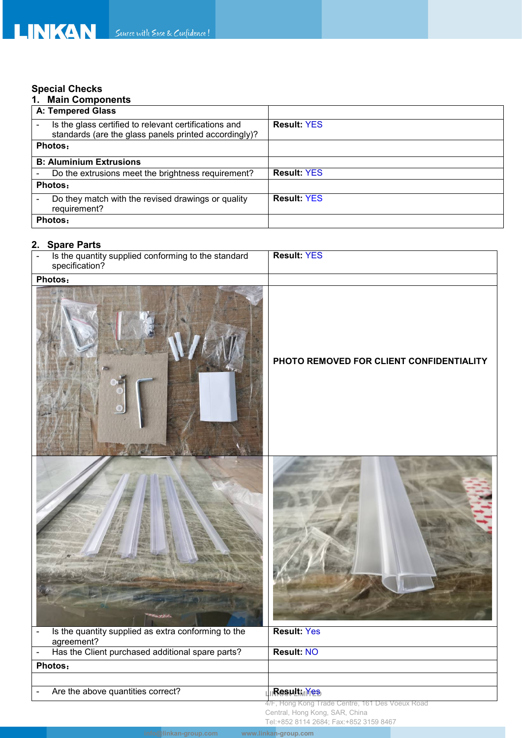# **Special Checks**

| <b>Main Components</b>                                                                                         |                    |
|----------------------------------------------------------------------------------------------------------------|--------------------|
| <b>A: Tempered Glass</b>                                                                                       |                    |
| Is the glass certified to relevant certifications and<br>standards (are the glass panels printed accordingly)? | <b>Result: YES</b> |
| Photos:                                                                                                        |                    |
| <b>B: Aluminium Extrusions</b>                                                                                 |                    |
| Do the extrusions meet the brightness requirement?                                                             | <b>Result: YES</b> |
| Photos:                                                                                                        |                    |
| Do they match with the revised drawings or quality<br>requirement?                                             | <b>Result: YES</b> |
| Photos:                                                                                                        |                    |

# **2. Spare Parts**

| Is the quantity supplied conforming to the standard<br>specification? | <b>Result: YES</b>                                                                                                          |
|-----------------------------------------------------------------------|-----------------------------------------------------------------------------------------------------------------------------|
| Photos:                                                               |                                                                                                                             |
|                                                                       | PHOTO REMOVED FOR CLIENT CONFIDENTIALITY                                                                                    |
|                                                                       |                                                                                                                             |
| Is the quantity supplied as extra conforming to the<br>agreement?     | <b>Result: Yes</b>                                                                                                          |
| Has the Client purchased additional spare parts?<br>$\blacksquare$    | <b>Result: NO</b>                                                                                                           |
| Photos:                                                               |                                                                                                                             |
|                                                                       |                                                                                                                             |
| Are the above quantities correct?                                     | <b>Result</b> <sub>M</sub> Yes                                                                                              |
|                                                                       | 4/F, Hong Kong Trade Centre, 161 Des Voeux Road<br>Central, Hong Kong, SAR, China<br>Tel:+852 8114 2684; Fax:+852 3159 8467 |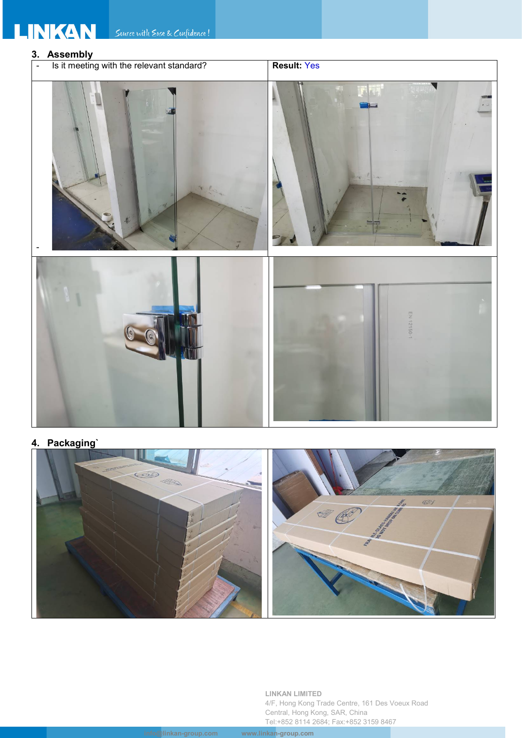# **3. Assembly** - Is it meeting with the relevant standard? | **Result:** Yes -

**4. Packaging`**



**LINKAN LIMITED** 4/F, Hong Kong Trade Centre, 161 Des Voeux Road Central, Hong Kong, SAR, China Tel:+852 8114 2684; Fax:+852 3159 8467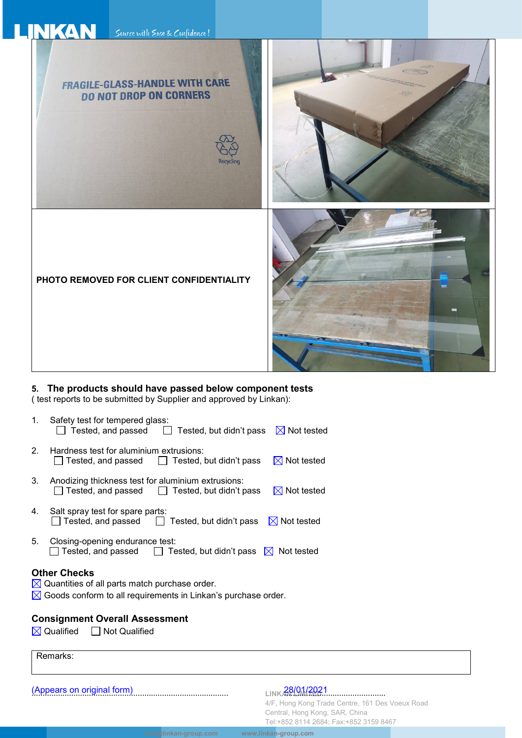

### **5. The products should have passed below component tests**

( test reports to be submitted by Supplier and approved by Linkan):

- 1. Safety test for tempered glass:  $\Box$  Tested, and passed  $\Box$  Tested, but didn't pass  $\boxtimes$  Not tested
- 2. Hardness test for aluminium extrusions:<br>  $\Box$  Tested, and passed  $\Box$  Tested,  $\Box$  Tested, but didn't pass  $\boxtimes$  Not tested
- 3. Anodizing thickness test for aluminium extrusions:<br>  $\Box$  Tested, and passed  $\Box$  Tested, but didn't p  $\Box$  Tested, but didn't pass  $\boxtimes$  Not tested
- 4. Salt spray test for spare parts:  $\Box$  Tested, and passed  $\Box$  Tested, but didn't pass  $\boxtimes$  Not tested
- 5. Closing-opening endurance test:<br>  $\Box$  Tested, and passed  $\Box$  Te  $\Box$  Tested, but didn't pass  $\boxtimes$  Not tested

### **Other Checks**

- $\boxtimes$  Quantities of all parts match purchase order.
- $\boxtimes$  Goods conform to all requirements in Linkan's purchase order.

### **Consignment Overall Assessment**

 $\boxtimes$  Qualified  $\Box$  Not Qualified

Remarks:

(Appears on original form) 28/01/2021 ......................................................................................... ..............................................

LINKAN 001/2021

**info@linkan-group.com www.linkan-group.com**

4/F, Hong Kong Trade Centre, 161 Des Voeux Road Central, Hong Kong, SAR, China Tel:+852 8114 2684; Fax:+852 3159 8467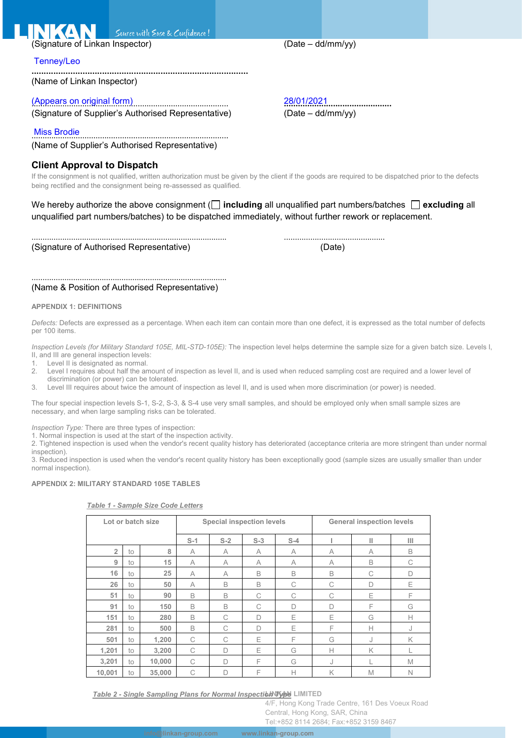Suurce with Ease & Confidence!

(Signature of Linkan Inspector) (Date – dd/mm/yy)

### Tenney/Leo

**.........................................................................................** (Name of Linkan Inspector)

(Appears on original form) 28/01/2021 ......................................................................................... **..............................................** (Signature of Supplier's Authorised Representative)

Miss Brodie ......................................................................................... (Name of Supplier's Authorised Representative)

### **Client Approval to Dispatch**

If the consignment is not qualified, written authorization must be given by the client if the goods are required to be dispatched prior to the defects being rectified and the consignment being re-assessed as qualified.

We hereby authorize the above consignment ( $\Box$  including all unqualified part numbers/batches  $\Box$  excluding all unqualified part numbers/batches) to be dispatched immediately, without further rework or replacement.

......................................................................................... .............................................. (Signature of Authorised Representative) (Date)

### (Name & Position of Authorised Representative)

.........................................................................................

### **APPENDIX 1: DEFINITIONS**

*Defects:* Defects are expressed as a percentage. When each item can contain more than one defect, it is expressed as the total number of defects per 100 items.

*Inspection Levels (for Military Standard 105E, MIL-STD-105E):* The inspection level helps determine the sample size for a given batch size. Levels I, II, and III are general inspection levels:

- Level II is designated as normal.
- 2. Level I requires about half the amount of inspection as level II, and is used when reduced sampling cost are required and a lower level of discrimination (or power) can be tolerated.
- 3. Level III requires about twice the amount of inspection as level II, and is used when more discrimination (or power) is needed.

The four special inspection levels S-1, S-2, S-3, & S-4 use very small samples, and should be employed only when small sample sizes are necessary, and when large sampling risks can be tolerated.

*Inspection Type:* There are three types of inspection:

1. Normal inspection is used at the start of the inspection activity.

2. Tightened inspection is used when the vendor's recent quality history has deteriorated (acceptance criteria are more stringent than under normal inspection).

3. Reduced inspection is used when the vendor's recent quality history has been exceptionally good (sample sizes are usually smaller than under normal inspection).

### **APPENDIX 2: MILITARY STANDARD 105E TABLES**

|                |    | Lot or batch size                | <b>Special inspection levels</b> |   |        |   | <b>General inspection levels</b> |              |   |  |
|----------------|----|----------------------------------|----------------------------------|---|--------|---|----------------------------------|--------------|---|--|
|                |    | $S-3$<br>$S-1$<br>$S-2$<br>$S-4$ |                                  |   |        |   | Ш                                | Ш            |   |  |
| $\overline{2}$ | to | 8                                | A                                | A | A      | A | $\wedge$                         | A            | B |  |
| 9              | to | 15                               | A                                | A | A      | A | A                                | B            | C |  |
| 16             | to | 25                               | A                                | A | B      | B | B                                | C            | D |  |
| 26             | to | 50                               | A                                | B | B      | C | C                                | $\Box$       | Е |  |
| 51             | to | 90                               | B                                | B | C      | C | C                                | Ε            | F |  |
| 91             | to | 150                              | B                                | B | C      | D | $\Box$                           | F            | G |  |
| 151            | to | 280                              | B                                | C | D      | E | E                                | G            | Н |  |
| 281            | to | 500                              | B                                | C | $\Box$ | E | F                                | $\mathsf{H}$ |   |  |
| 501            | to | 1,200                            | C                                | C | E      | F | G                                | J            | K |  |
| 1,201          | to | 3,200                            | C                                | D | E      | G | $\mathsf{H}$                     | K            |   |  |
| 3,201          | to | 10,000                           | C                                | D | F      | G | J                                |              | M |  |
| 10,001         | to | 35,000                           | C                                | D | F      | Н | K                                | M            | N |  |

### *Table 1 - Sample Size Code Letters*

*<u>Table 2 - Single Sampling Plans for Normal Inspection Type LIMITED*</u>

4/F, Hong Kong Trade Centre, 161 Des Voeux Road Central, Hong Kong, SAR, China

Tel:+852 8114 2684; Fax:+852 3159 8467